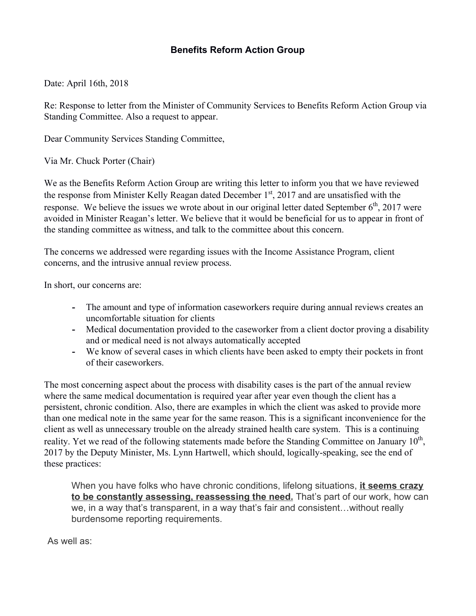## **Benefits Reform Action Group**

Date: April 16th, 2018

Re: Response to letter from the Minister of Community Services to Benefits Reform Action Group via Standing Committee. Also a request to appear.

Dear Community Services Standing Committee,

Via Mr. Chuck Porter (Chair)

We as the Benefits Reform Action Group are writing this letter to inform you that we have reviewed the response from Minister Kelly Reagan dated December  $1<sup>st</sup>$ , 2017 and are unsatisfied with the response. We believe the issues we wrote about in our original letter dated September  $6<sup>th</sup>$ , 2017 were avoided in Minister Reagan's letter. We believe that it would be beneficial for us to appear in front of the standing committee as witness, and talk to the committee about this concern.

The concerns we addressed were regarding issues with the Income Assistance Program, client concerns, and the intrusive annual review process.

In short, our concerns are:

- **-** The amount and type of information caseworkers require during annual reviews creates an uncomfortable situation for clients
- **-** Medical documentation provided to the caseworker from a client doctor proving a disability and or medical need is not always automatically accepted
- **-** We know of several cases in which clients have been asked to empty their pockets in front of their caseworkers.

The most concerning aspect about the process with disability cases is the part of the annual review where the same medical documentation is required year after year even though the client has a persistent, chronic condition. Also, there are examples in which the client was asked to provide more than one medical note in the same year for the same reason. This is a significant inconvenience for the client as well as unnecessary trouble on the already strained health care system. This is a continuing reality. Yet we read of the following statements made before the Standing Committee on January 10<sup>th</sup>, 2017 by the Deputy Minister, Ms. Lynn Hartwell, which should, logically-speaking, see the end of these practices:

When you have folks who have chronic conditions, lifelong situations, **it seems crazy to be constantly assessing, reassessing the need.** That's part of our work, how can we, in a way that's transparent, in a way that's fair and consistent…without really burdensome reporting requirements.

As well as: